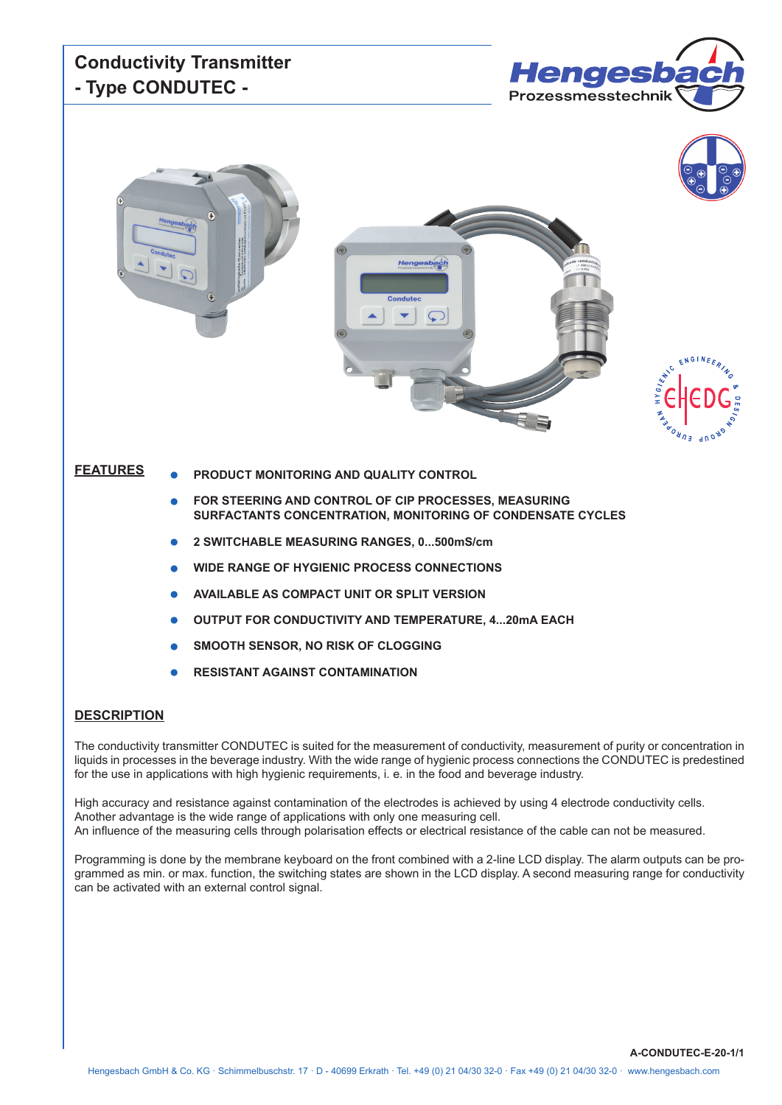



#### **FEATURES**

- **PRODUCT MONITORING AND QUALITY CONTROL**
- **FOR STEERING AND CONTROL OF CIP PROCESSES, MEASURING SURFACTANTS CONCENTRATION, MONITORING OF CONDENSATE CYCLES**
- **2 SWITCHABLE MEASURING RANGES, 0...500mS/cm**
- **WIDE RANGE OF HYGIENIC PROCESS CONNECTIONS**
- **AVAILABLE AS COMPACT UNIT OR SPLIT VERSION**
- **OUTPUT FOR CONDUCTIVITY AND TEMPERATURE, 4...20mA EACH**
- **SMOOTH SENSOR, NO RISK OF CLOGGING**
- **RESISTANT AGAINST CONTAMINATION**

#### **DESCRIPTION**

The conductivity transmitter CONDUTEC is suited for the measurement of conductivity, measurement of purity or concentration in liquids in processes in the beverage industry. With the wide range of hygienic process connections the CONDUTEC is predestined for the use in applications with high hygienic requirements, i. e. in the food and beverage industry.

High accuracy and resistance against contamination of the electrodes is achieved by using 4 electrode conductivity cells. Another advantage is the wide range of applications with only one measuring cell. An influence of the measuring cells through polarisation effects or electrical resistance of the cable can not be measured.

Programming is done by the membrane keyboard on the front combined with a 2-line LCD display. The alarm outputs can be programmed as min. or max. function, the switching states are shown in the LCD display. A second measuring range for conductivity can be activated with an external control signal.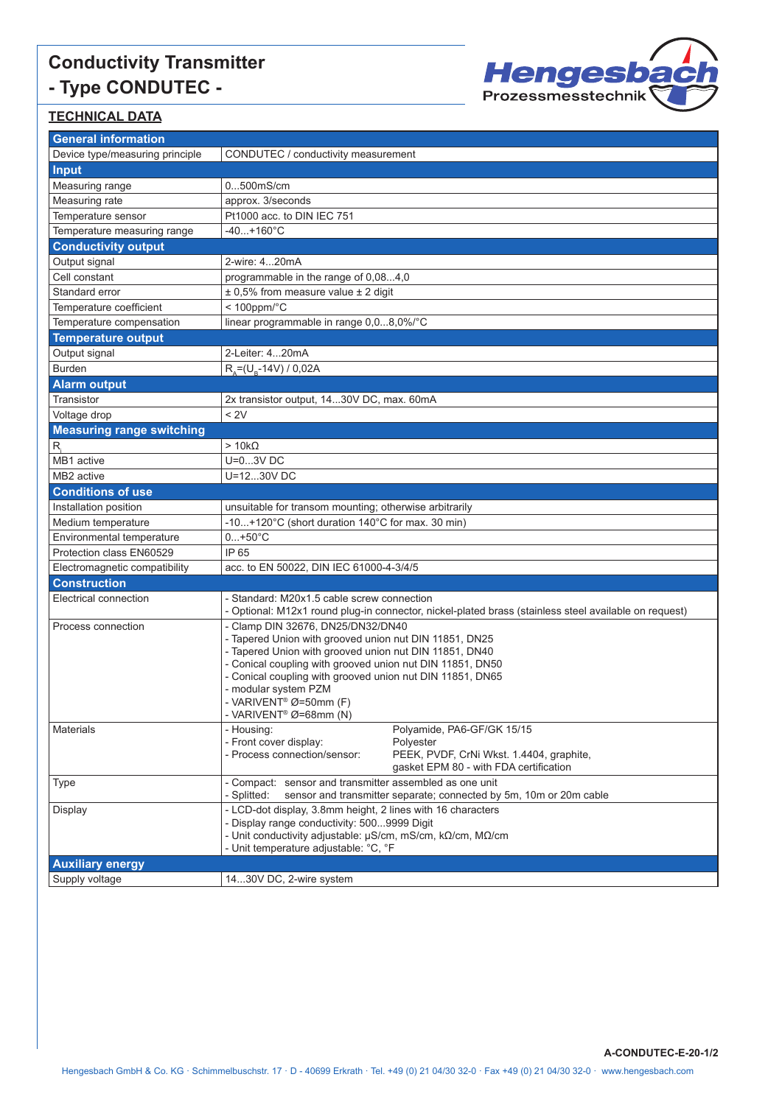

**A-CONDUTEC-E-20-1/2**

### **TECHNICAL DATA**

| <b>General information</b>       |                                                                                                                        |  |  |  |  |  |
|----------------------------------|------------------------------------------------------------------------------------------------------------------------|--|--|--|--|--|
| Device type/measuring principle  | CONDUTEC / conductivity measurement                                                                                    |  |  |  |  |  |
| <b>Input</b>                     |                                                                                                                        |  |  |  |  |  |
| Measuring range                  | 0500mS/cm                                                                                                              |  |  |  |  |  |
| Measuring rate                   | approx. 3/seconds                                                                                                      |  |  |  |  |  |
| Temperature sensor               | Pt1000 acc. to DIN IEC 751                                                                                             |  |  |  |  |  |
| Temperature measuring range      | $-40+160^{\circ}C$                                                                                                     |  |  |  |  |  |
| <b>Conductivity output</b>       |                                                                                                                        |  |  |  |  |  |
| Output signal                    | 2-wire: 420mA                                                                                                          |  |  |  |  |  |
| Cell constant                    | programmable in the range of 0,084,0                                                                                   |  |  |  |  |  |
| Standard error                   | $\pm$ 0.5% from measure value $\pm$ 2 digit                                                                            |  |  |  |  |  |
| Temperature coefficient          | $< 100$ ppm/ $°C$                                                                                                      |  |  |  |  |  |
| Temperature compensation         | linear programmable in range 0,08,0%/°C                                                                                |  |  |  |  |  |
| <b>Temperature output</b>        |                                                                                                                        |  |  |  |  |  |
| Output signal                    | 2-Leiter: 420mA                                                                                                        |  |  |  |  |  |
| <b>Burden</b>                    | $R_{A} = (U_{B} - 14V) / 0.02A$                                                                                        |  |  |  |  |  |
| <b>Alarm output</b>              |                                                                                                                        |  |  |  |  |  |
| Transistor                       | 2x transistor output, 1430V DC, max. 60mA                                                                              |  |  |  |  |  |
| Voltage drop                     | < 2V                                                                                                                   |  |  |  |  |  |
| <b>Measuring range switching</b> |                                                                                                                        |  |  |  |  |  |
| $R_i$                            | $>10k\Omega$                                                                                                           |  |  |  |  |  |
| MB1 active                       | $U=03V$ DC                                                                                                             |  |  |  |  |  |
| MB <sub>2</sub> active           | U=1230V DC                                                                                                             |  |  |  |  |  |
| <b>Conditions of use</b>         |                                                                                                                        |  |  |  |  |  |
| Installation position            | unsuitable for transom mounting; otherwise arbitrarily                                                                 |  |  |  |  |  |
| Medium temperature               | -10+120°C (short duration 140°C for max. 30 min)                                                                       |  |  |  |  |  |
| Environmental temperature        | $0+50^{\circ}C$                                                                                                        |  |  |  |  |  |
| Protection class EN60529         | IP 65                                                                                                                  |  |  |  |  |  |
| Electromagnetic compatibility    | acc. to EN 50022, DIN IEC 61000-4-3/4/5                                                                                |  |  |  |  |  |
| <b>Construction</b>              |                                                                                                                        |  |  |  |  |  |
| Electrical connection            | - Standard: M20x1.5 cable screw connection                                                                             |  |  |  |  |  |
|                                  | - Optional: M12x1 round plug-in connector, nickel-plated brass (stainless steel available on request)                  |  |  |  |  |  |
| Process connection               | - Clamp DIN 32676, DN25/DN32/DN40                                                                                      |  |  |  |  |  |
|                                  | - Tapered Union with grooved union nut DIN 11851, DN25                                                                 |  |  |  |  |  |
|                                  | - Tapered Union with grooved union nut DIN 11851, DN40                                                                 |  |  |  |  |  |
|                                  | - Conical coupling with grooved union nut DIN 11851, DN50<br>- Conical coupling with grooved union nut DIN 11851, DN65 |  |  |  |  |  |
|                                  | - modular system PZM                                                                                                   |  |  |  |  |  |
|                                  | - VARIVENT <sup>®</sup> Ø=50mm (F)                                                                                     |  |  |  |  |  |
|                                  | - VARIVENT <sup>®</sup> Ø=68mm (N)                                                                                     |  |  |  |  |  |
| Materials                        | Polyamide, PA6-GF/GK 15/15<br>- Housing:                                                                               |  |  |  |  |  |
|                                  | - Front cover display:<br>Polyester                                                                                    |  |  |  |  |  |
|                                  | - Process connection/sensor:<br>PEEK, PVDF, CrNi Wkst. 1.4404, graphite,<br>gasket EPM 80 - with FDA certification     |  |  |  |  |  |
| <b>Type</b>                      | - Compact: sensor and transmitter assembled as one unit                                                                |  |  |  |  |  |
|                                  | sensor and transmitter separate; connected by 5m, 10m or 20m cable<br>- Splitted:                                      |  |  |  |  |  |
| Display                          | - LCD-dot display, 3.8mm height, 2 lines with 16 characters                                                            |  |  |  |  |  |
|                                  | - Display range conductivity: 5009999 Digit                                                                            |  |  |  |  |  |
|                                  | - Unit conductivity adjustable: μS/cm, mS/cm, kΩ/cm, MΩ/cm                                                             |  |  |  |  |  |
|                                  | - Unit temperature adjustable: °C, °F                                                                                  |  |  |  |  |  |
| <b>Auxiliary energy</b>          |                                                                                                                        |  |  |  |  |  |
| Supply voltage                   | 1430V DC, 2-wire system                                                                                                |  |  |  |  |  |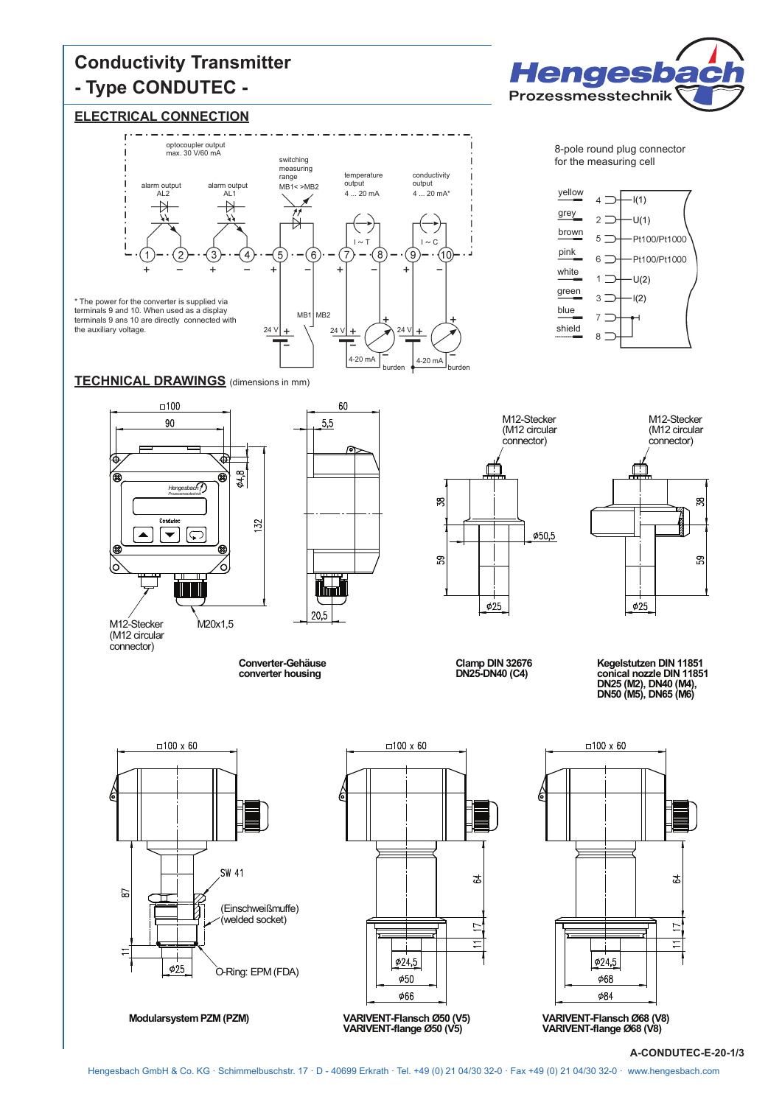#### **ELECTRICAL CONNECTION**





**Hengesbad** 

Prozessmesstechnik



M12-Stecker M20x1.5

(M12 circular connector)

 $\tt TECHNICAL DRAWINGS$  (dimensions in mm)



**Converter-Gehäuse converter housing**

(M12 circular connector)  $\frac{8}{2}$  $650,5$ 59  $\phi$ 25

M12-Stecker

shield

8



**Clamp DIN 32676 DN25-DN40 (C4)**

**Kegelstutzen DIN <sup>11851</sup> conical nozzle DIN <sup>11851</sup> DN25 (M2), DN40 (M4), DN50 (M5), DN65 (M6)**



**Modularsystem PZM (PZM)**





**A-CONDUTEC-E-20-1/3**